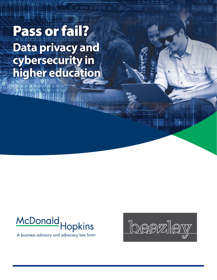## Pass or fail? **Data privacy and cybersecurity in higher education**

ooooooooo<br>gooooocoo



A business advisory and advocacy law firm®

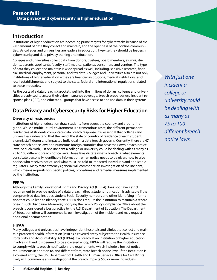## **Introduction**

Institutions of higher education are becoming prime targets for cyberattacks because of the vast amount of data they collect and maintain, and the openness of their online communities. As colleges and universities are leaders in education; likewise they should be leaders in cybersecurity and data privacy training and education.

Colleges and universities collect data from donors, trustees, board members, alumni, students, parents, applicants, faculty, staff, medical patients, consumers, and vendors. The type of data they collect and maintain is wide spread as well, including, sensitive research, financial, medical, employment, personal, and tax data. Colleges and universities also are not only institutions of higher education – they are financial institutions, medical institutions, and retail establishments, and subject to the state, federal and international regulations related to those industries.

As the costs of a data breach skyrockets well into the millions of dollars, colleges and universities are advised to assess their cyber insurance coverage, breach preparedness, incident response plans (IRP), and educate all groups that have access to and use data in their systems.

## **Data Privacy and Cybersecurity Risks for Higher Education**

#### **Diversity of residencies**

Institutions of higher education draw students from across the country and around the globe. While a multicultural environment is a tremendous asset, the different permanent residencies of students complicate data breach response. It is essential that colleges and universities understand that the law of the state or country of residence of each student, alumni, staff, donor and impacted individual in a data breach governs. Currently, there are 47 state breach notice laws and numerous foreign countries that have their own breach notice laws. As such, with just one incident a college or university could be dealing with as many as 75 to 100 different breach notice laws. Those laws dictate what a breach is, what elements constitute personally identifiable information, when notice needs to be given, how to give notice, who receives notice, and what must be told to impacted individuals and applicable regulators. Many state attorneys general will commence an investigation of the incident, which means requests for specific policies, procedures and remedial measures implemented by the institution.

#### **FERPA**

Although the Family Educational Rights and Privacy Act (FERPA) does not have a strict requirement to provide notice of a data breach, direct student notification is advisable if the compromised data includes student Social Security numbers and other identifying information that could lead to identity theft. FERPA does require the institution to maintain a record of each such disclosure. Moreover, notifying the Family Policy Compliance Office about the breach is considered a best practice by the U.S. Department of Education. The Department of Education often will commence its own investigation of the incident and may request additional documentation.

#### **HIPAA**

Many colleges and universities have independent hospitals and clinics that collect and maintain protected health information (PHI) as a covered entity subject to the Health Insurance Portability and Accountability Act (HIPAA). If a breach at an institution of higher education involves PHI and it is deemed to be a covered entity, HIPAA will require the institution to comply with its breach notification rule requirements, which include a host of notice requirements in addition to, and different from, state breach notice laws. If the institution is a covered entity, the U.S. Department of Health and Human Services Office for Civil Rights likely will commence an investigation if the breach impacts 500 or more individuals.

*With just one incident a college or university could be dealing with as many as 75 to 100 different breach notice laws.*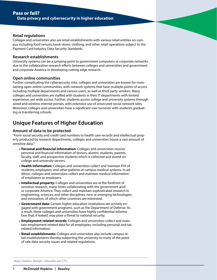#### **Retail regulations**

Colleges and universities also are retail establishments with various retail entities on campus including food venues, book stores, clothing, and other retail operations subject to the Payment Card Industry Data Security Standards.

#### **Research establishments**

University systems can be a jumping point to government computers or corporate networks due to the collaborative research efforts between colleges and universities and government and corporate America in developing cutting edge research.

#### **Open online communities**

Further complicating the cybersecurity risks, colleges and universities are known for maintaining open online communities, with network systems that have multiple points of access including multiple departments and various users, as well as third party vendors. Many colleges and universities are staffed with students in their IT departments with limited experience, yet wide access. Further, students access college and university systems through wired and wireless internet portals, with extensive use of unsecured social network sites. Moreover, colleges and universities have a significant user turnover with students graduating or transferring schools.

## **Unique Features of Higher Education**

#### **Amount of data to be protected**

"From social security and credit card numbers to health care records and intellectual property produced by research departments, colleges and universities house a vast amount of sensitive data."1

- **Personal and financial information:** Colleges and universities receive personal and financial information of donors, alumni, students, parents, faculty, staff, and prospective students which is collected and stored on college and university servers.
- **Health information:** Colleges and universities collect and maintain PHI of students, employees, and other patients at campus medical systems. In addition, colleges and universities collect and maintain medical information of employees as employers.
- **Intellectual property:** Colleges and universities are at the forefront of sensitive research, many times collaborating with the government and/ or corporate America. They collect and maintain sophisticated research in engineering, sciences, and other disciplines, new or emerging technologies and innovation, of which other countries are interested.
- **Government data:** Certain higher education institutions are actively engaged with government programs, such as the Department of Defense. As a result, these colleges and universities have highly confidential information that, if leaked, may pose a threat to national security.
- **Employment-related records:** Colleges and universities collect and maintain employment related data for all employees, including personal and tax related information.
- **Retail establishments:** Colleges and universities also include campus retail establishments thereby subjecting the university to many of the point of sale data security issues and related regulations.

<sup>1</sup> Boyer, Stephen, BitSight. Cofounder and CTO.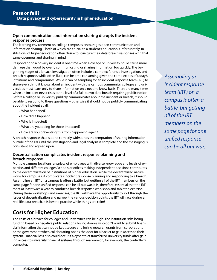#### **Open communication and information sharing disrupts the incident response process**

The learning environment on college campuses encourages open communication and information sharing – both of which are crucial to a student's education. Unfortunately, institutions of higher education often desire to structure their data breach responses with that same openness and sharing in mind.

Responding to a privacy incident is one time when a college or university could cause more damage than good by overly communicating or sharing information too quickly. The beginning stages of a breach investigation often include a complex forensic investigation, and breach response, while often fluid, can be time consuming given the complexities of today's intrusions and compromises. While it can be tempting for an incident response team (IRT) to share everything it knows about an incident with the campus community, colleges and universities must learn only to share information on a need to know basis. There are many times when an incident never rises to the level of a full-blown data breach requiring public notice. Before a college or university publicly communicates about the incident or breach, it should be able to respond to these questions – otherwise it should not be publicly communicating about the incident at all.

- What happened?
- How did it happen?
- Who is impacted?
- What are you doing for those impacted?
- How are you preventing this from happening again?

A breach response that is done correctly withstands the temptation of sharing information outside of the IRT until the investigation and legal analysis is complete and the messaging is consistent and agreed upon.

#### **Decentralization complicates incident response planning and breach response**

Multiple campus locations, a variety of employees with diverse knowledge and levels of expertise, and different colleges/schools or offices making independent decisions contributes to the decentralization of institutions of higher education. While the decentralized nature works for campuses, it complicates incident response planning and responding to a breach. Assembling an IRT on a campus is often a battle, but getting all of the IRT members on the same page for one unified response can be all out war. It is, therefore, essential that the IRT meet at least twice a year to conduct a breach response workshop and tabletop exercise. During these workshops and exercises, the IRT will have the opportunity to sort through the issues of decentralization and narrow the various decision points the IRT will face during a real-life data breach. It is best to practice while things are calm!

## **Costs for Higher Education**

The costs of a breach for colleges and universities can be high. The institution risks losing funding based on negative public relations, losing donors who don't want to submit financial information that cannot be kept secure and losing research grants from corporations or the government when collaborating opens the door for a hacker to gain access to their system. Financial loss also could occur if a cyber thief transferred university funds after gaining access to university financial systems through malware on, for example, the controller's computer.

*Assembling an incident response team (IRT) on a campus is often a battle, but getting all of the IRT members on the same page for one unified response can be all out war.*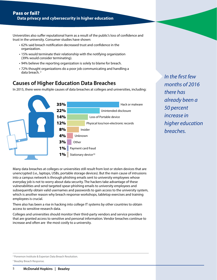Universities also suffer reputational harm as a result of the public's loss of confidence and trust in the university. Consumer studies have shown:

- 62% said breach notification decreased trust and confidence in the organization.
- 15% would terminate their relationship with the notifying organization (39% would consider terminating).
- 94% believe the reporting organization is solely to blame for breach.
- 72% thought organizations do a poor job communicating and handling a data breach. 2

## **Causes of Higher Education Data Breaches**

In 2015, there were multiple causes of data breaches at colleges and universities, including:



*In the first few months of 2016 there has already been a 50 percent increase in higher education breaches.*

Many data breaches at colleges or universities still result from lost or stolen devices that are unencrypted (i.e., laptops, USBs, portable storage devices). But the main cause of intrusions into a campus network is through phishing emails sent to university employees whose everyday job is not to worry about data security. The hackers take advantage of these vulnerabilities and send targeted spear-phishing emails to university employees and subsequently obtain valid usernames and passwords to gain access to the university system, which is another reason why breach response workshops, tabletop exercises and training employees is crucial.

There also has been a rise in hacking into college IT systems by other countries to obtain access to sensitive research data.

Colleges and universities should monitor their third-party vendors and service providers that are granted access to sensitive and personal information. Vendor breaches continue to increase and often are the most costly to a university.

<sup>3</sup> Beazley Breach Response.

<sup>2</sup> Ponemon Institute & Experian Data Breach Resolution.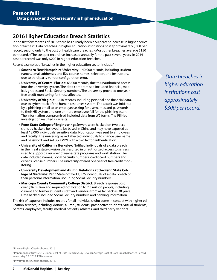## **2016 Higher Education Breach Statistics**

In the first few months of 2016 there has already been a 50 percent increase in higher education breaches.4 Data breaches in higher education institutions cost approximately \$300 per record, second only to the cost of health care breaches. (Most other breaches average \$150 per record.<sup>5</sup>) The cost per record has increased annually for the past several years. In 2014 cost per record was only \$200 in higher education breaches.

Recent examples of breaches in the higher education sector include:<sup>6</sup>

- **Southern New Hampshire University:** 140,000 records, including student names, email addresses and IDs, course names, selection, and instructors, due to third party vendor configuration error.
- **University of Central Florida:** 63,000 records, due to unauthorized access into the university system. The data compromised included financial, medical, grades and Social Security numbers. The university provided one year free credit monitoring for those affected.
- **University of Virginia:** 1,440 records including personal and financial data, due to cyberattack of the human resources system. The attack was initiated by a phishing email to an employee asking for usernames and passwords to their HR system and one or more employee fell for the phishing scam. The information compromised included data from W2 forms. The FBI-led investigation resulted in arrests.
- **Penn State College of Engineering:** Servers were hacked on two occasions by hackers believed to be based in China and may have exposed at least 18,000 individuals' sensitive data. Notification was sent to employees and faculty. The university asked affected individuals to change user name and password, and set up a VPN with a two factor authentication.
- **University of California Berkeley:** Notified individuals of a data breach in their real estate division that resulted in unauthorized access to servers used to support a number of real estate programs and work station. The data included names, Social Security numbers, credit card numbers and driver's license numbers. The university offered one year of free credit monitoring.
- **University Development and Alumni Relations at the Penn State College of Medicine:** Penn State notified 1,176 individuals of a data breach of their personal information, including Social Security numbers.
- **Maricopa County Community College District:** Breach response cost over \$26 million and required notification to 2.3 million people, including current and former students, staff and vendors from as far back as 30 years. Data hacked included Social Security numbers and banking information.

The risk of exposure includes records for all individuals who come in contact with higher education services, including, donors, alumni, students, prospective students, virtual students, parents, employees, faculty, medical patients, athletes, and third party vendors.

 *Data breaches in higher education institutions cost approximately \$300 per record.*

5 Ponemon Institute's 2015 Global Cost of Data Breach Study Reveals Average Cost of Data Breach Reaches Record levels. May 27, 2015. PRNewswire

<sup>6</sup> Privacy Rights Clearinghouse. 2016.

<sup>4</sup> Privacy Rights Clearinghouse. 2016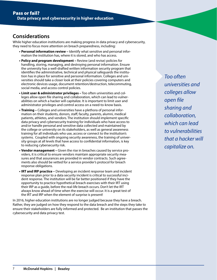### **Considerations**

While higher education institutions are making progress in data privacy and cybersecurity, they need to focus more attention on breach preparedness, including:

- **Personal information review –** Identify what sensitive and personal information the institution has, where it is stored, and who has access.
- **Policy and program development –** Review (and revise) policies for handling, storing, managing, and destroying personal information. Ensure the university has a well-drafted written information security program that identifies the administrative, technical and physical safeguards the institution has in place for sensitive and personal information. Colleges and universities should take a closer look at their policies covering computers and electronic devices usage, document retention/destruction, telecommuting, social media, and access control policies.
- **Limit user & administrator privileges –** Too often universities and colleges allow open file sharing and collaboration, which can lead to vulnerabilities on which a hacker will capitalize. It is important to limit user and administrator privileges and control access on a need-to-know basis.
- **Training –** Colleges and universities have a plethora of personal information on their students, donors, staff, faculty, parents, alumni, medical patients, athletes, and vendors. The institution should implement specific data privacy and cybersecurity training for individuals who have access to and/or handle personal and sensitive data collected and maintained by the college or university on its stakeholders, as well as general awareness training for all individuals who use, access or connect to the institution's systems. Coupled with ongoing security awareness, the training of university groups at all levels that have access to confidential information, is key to reducing cybersecurity risk.
- **Vendor management –** Given the rise in breaches caused by service providers, it is critical to ensure vendors maintain appropriate security measures and that assurances are provided in vendor contracts. Such agreements also should be vetted for a service provider's protocol for breach response obligations.
- **IRT and IRP practice –** Developing an incident response team and incident response plan prior to a data security incident is critical to successful incident response. The institution will be far better positioned if they have the opportunity to practice hypothetical breach exercises with their IRT using their IRP as a guide, before the real-life breach occurs. Don't let the IRT always know ahead of time when the exercise will occur. It is a great test of the IRT and IRP when the element of surprise is present!

In 2016, higher education institutions are no longer judged because they have a breach. Rather, they are judged on how they respond to the data breach and the steps they take to ensure their stakeholders are fully informed and protected. Be an institution that passes the cybersecurity and data privacy test.

*Too often universities and colleges allow open file sharing and collaboration, which can lead to vulnerabilities that a hacker will capitalize on.*